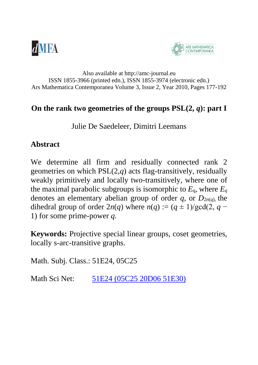



#### Also available at http://amc-journal.eu ISSN 1855-3966 (printed edn.), ISSN 1855-3974 (electronic edn.) Ars Mathematica Contemporanea Volume 3, Issue 2, Year 2010, Pages 177-192

#### On the rank two geometries of the groups  $PSL(2, q)$ : part I

Julie De Saedeleer, Dimitri Leemans

### **Abstract**

We determine all firm and residually connected rank 2 geometries on which PSL(2,*q*) acts flag-transitively, residually weakly primitively and locally two-transitively, where one of the maximal parabolic subgroups is isomorphic to  $E_q$ , where  $E_q$ denotes an elementary abelian group of order  $q$ , or  $D_{2n(q)}$ , the dihedral group of order  $2n(q)$  where  $n(q) := (q \pm 1)/\text{gcd}(2, q -$ 1) for some prime-power *q*.

**Keywords:** Projective special linear groups, coset geometries, locally s-arc-transitive graphs.

Math. Subj. Class.: 51E24, 05C25

Math Sci Net: [51E24 \(05C25 20D06 51E30\)](http://www.ams.org/mathscinet/search/mscdoc.html?code=51E24,%2805C25,20D06,51E30%29)